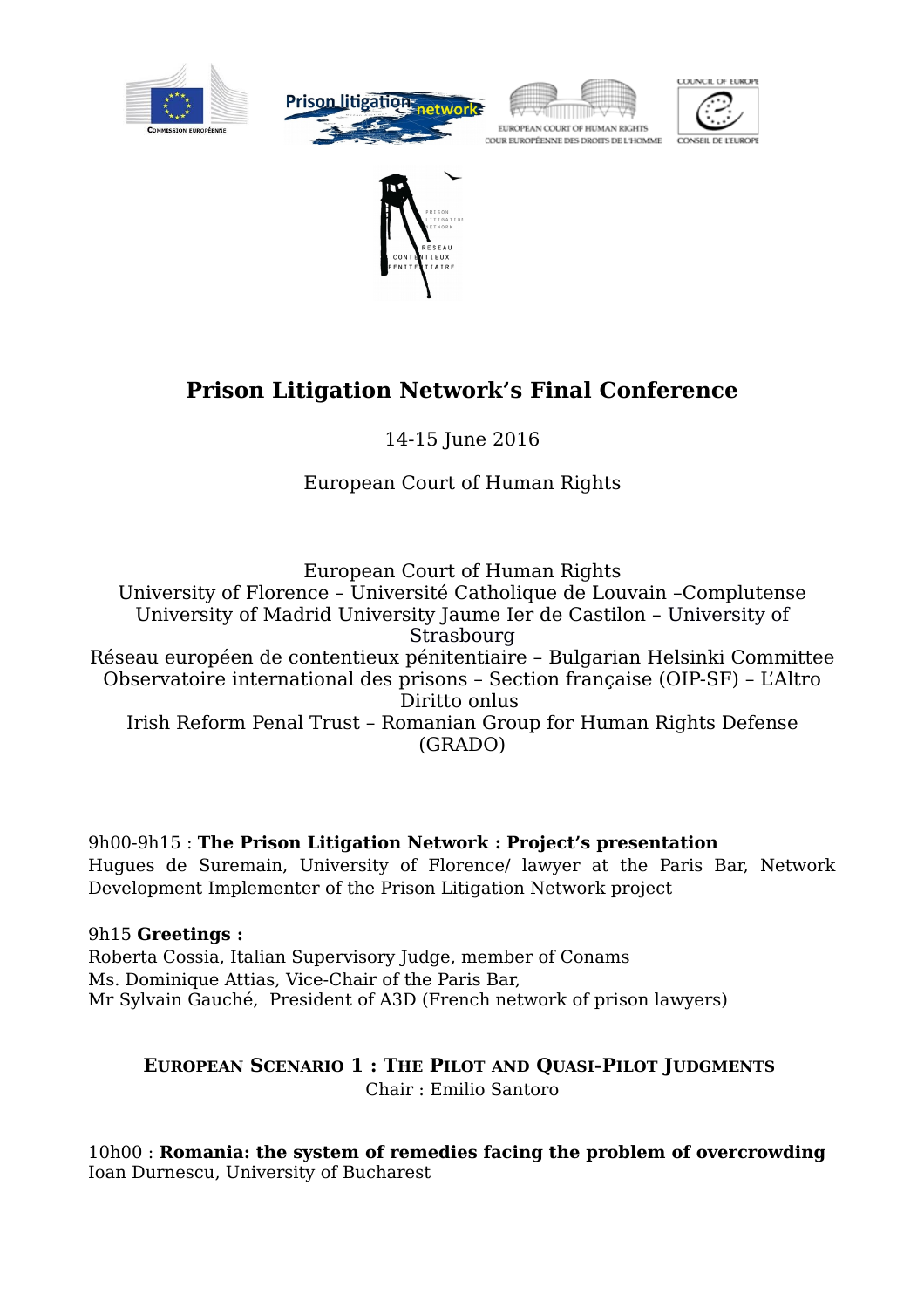









# **Prison Litigation Network's Final Conference**

14-15 June 2016

European Court of Human Rights

European Court of Human Rights University of Florence – Université Catholique de Louvain –Complutense University of Madrid University Jaume Ier de Castilon – University of Strasbourg Réseau européen de contentieux pénitentiaire – Bulgarian Helsinki Committee Observatoire international des prisons – Section française (OIP-SF) – L'Altro Diritto onlus Irish Reform Penal Trust – Romanian Group for Human Rights Defense (GRADO)

9h00-9h15 : **The Prison Litigation Network : Project's presentation** Hugues de Suremain, University of Florence/ lawyer at the Paris Bar, Network Development Implementer of the Prison Litigation Network project

9h15 **Greetings :** Roberta Cossia, Italian Supervisory Judge, member of Conams Ms. Dominique Attias, Vice-Chair of the Paris Bar, Mr Sylvain Gauché, President of A3D (French network of prison lawyers)

## **EUROPEAN SCENARIO 1 : THE PILOT AND QUASI-PILOT JUDGMENTS** Chair : Emilio Santoro

10h00 : **Romania: the system of remedies facing the problem of overcrowding**  Ioan Durnescu, University of Bucharest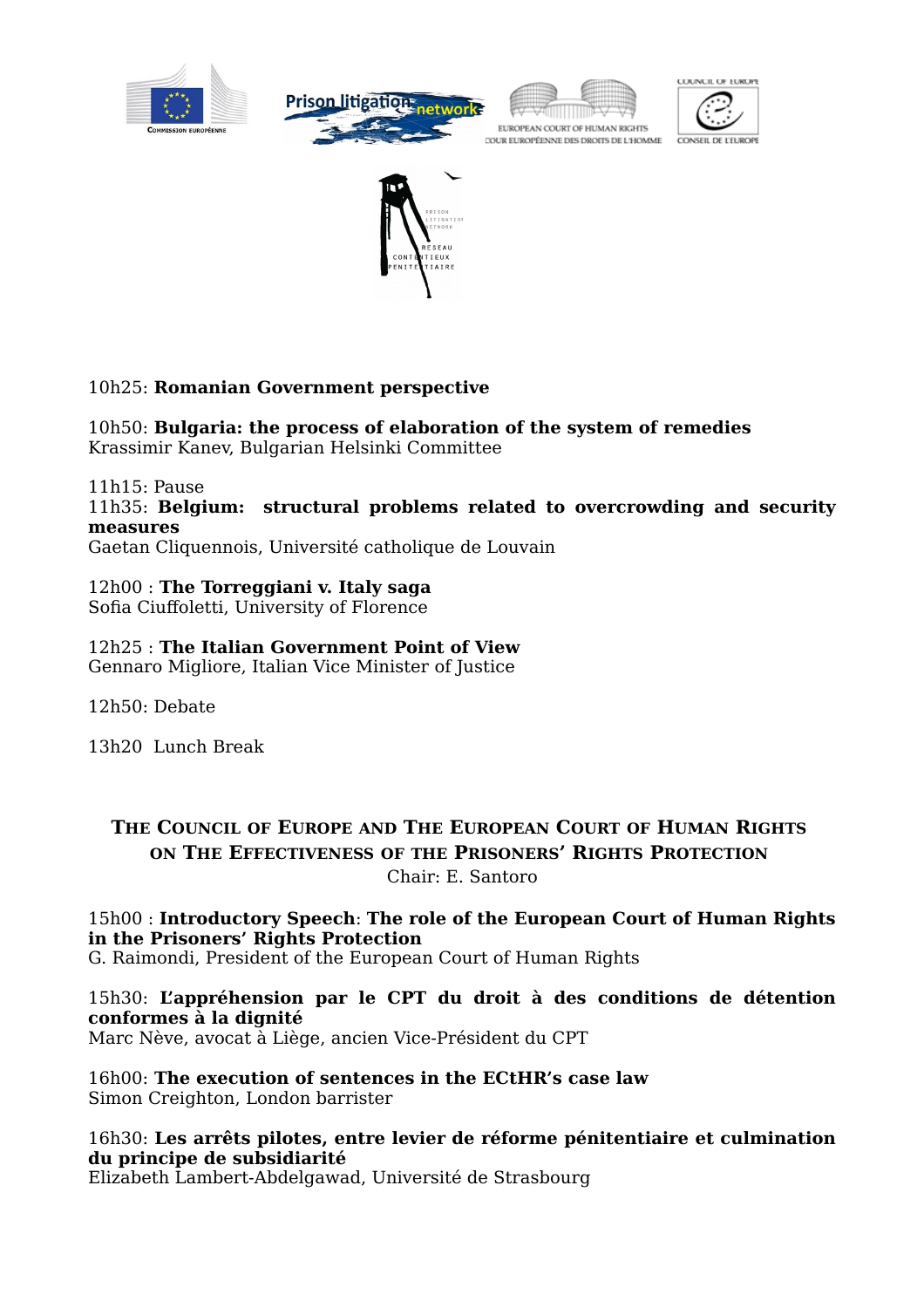









## 10h25: **Romanian Government perspective**

10h50: **Bulgaria: the process of elaboration of the system of remedies** Krassimir Kanev, Bulgarian Helsinki Committee

11h15: Pause

11h35: **Belgium: structural problems related to overcrowding and security measures**

Gaetan Cliquennois, Université catholique de Louvain

12h00 : **The Torreggiani v. Italy saga**  Sofia Ciuffoletti, University of Florence

12h25 : **The Italian Government Point of View** Gennaro Migliore, Italian Vice Minister of Justice

12h50: Debate

13h20 Lunch Break

## **THE COUNCIL OF EUROPE AND THE EUROPEAN COURT OF HUMAN RIGHTS ON THE EFFECTIVENESS OF THE PRISONERS' RIGHTS PROTECTION** Chair: E. Santoro

## 15h00 : **Introductory Speech**: **The role of the European Court of Human Rights in the Prisoners' Rights Protection**

G. Raimondi, President of the European Court of Human Rights

## 15h30: **L'appréhension par le CPT du droit à des conditions de détention conformes à la dignité**

Marc Nève, avocat à Liège, ancien Vice-Président du CPT

16h00: **The execution of sentences in the ECtHR's case law** Simon Creighton, London barrister

#### 16h30: **Les arrêts pilotes, entre levier de réforme pénitentiaire et culmination du principe de subsidiarité**

Elizabeth Lambert-Abdelgawad, Université de Strasbourg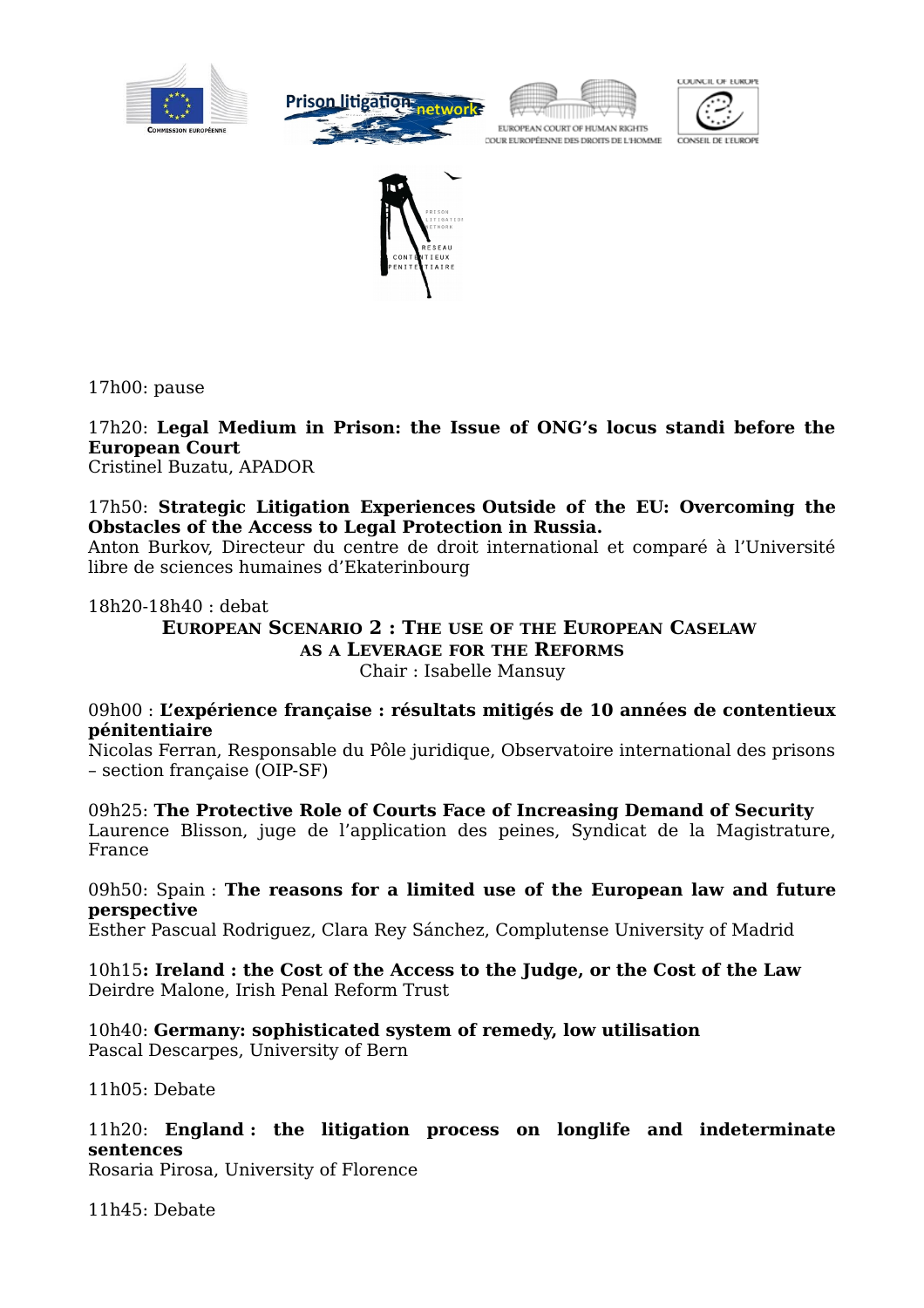









17h00: pause

17h20: **Legal Medium in Prison: the Issue of ONG's locus standi before the European Court**

Cristinel Buzatu, APADOR

#### 17h50: **Strategic Litigation Experiences Outside of the EU: Overcoming the Obstacles of the Access to Legal Protection in Russia.**

Anton Burkov, Directeur du centre de droit international et comparé à l'Université libre de sciences humaines d'Ekaterinbourg

#### 18h20-18h40 : debat

**EUROPEAN SCENARIO 2 : THE USE OF THE EUROPEAN CASELAW AS A LEVERAGE FOR THE REFORMS** Chair : Isabelle Mansuy

#### 09h00 : **L'expérience française : résultats mitigés de 10 années de contentieux pénitentiaire**

Nicolas Ferran, Responsable du Pôle juridique, Observatoire international des prisons – section française (OIP-SF)

09h25: **The Protective Role of Courts Face of Increasing Demand of Security** Laurence Blisson, juge de l'application des peines, Syndicat de la Magistrature, France

#### 09h50: Spain : **The reasons for a limited use of the European law and future perspective**

Esther Pascual Rodriguez, Clara Rey Sánchez, Complutense University of Madrid

10h15**: Ireland : the Cost of the Access to the Judge, or the Cost of the Law** Deirdre Malone, Irish Penal Reform Trust

10h40: **Germany: sophisticated system of remedy, low utilisation** Pascal Descarpes, University of Bern

11h05: Debate

#### 11h20: **England : the litigation process on longlife and indeterminate sentences**

Rosaria Pirosa, University of Florence

11h45: Debate